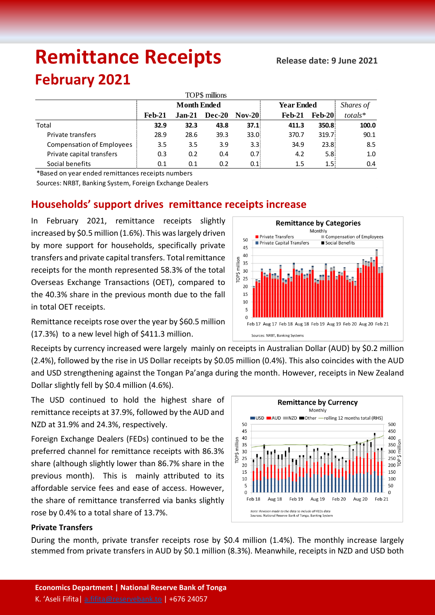# **Remittance Receipts Refease date: 9 June 2021**

# **February 2021**

| TOP\$ millions                   |                    |          |        |          |                   |               |         |  |  |  |  |
|----------------------------------|--------------------|----------|--------|----------|-------------------|---------------|---------|--|--|--|--|
|                                  | <b>Month Ended</b> |          |        |          | <b>Year Ended</b> | Shares of     |         |  |  |  |  |
|                                  | Feb-21             | $Jan-21$ | Dec-20 | $Nov-20$ | $Feb-21$          | <b>Feb-20</b> | totals* |  |  |  |  |
| Total                            | 32.9               | 32.3     | 43.8   | 37.1     | 411.3             | 350.8         | 100.0   |  |  |  |  |
| Private transfers                | 28.9               | 28.6     | 39.3   | 33.0%    | 370.7             | 319.7         | 90.1    |  |  |  |  |
| <b>Compensation of Employees</b> | 3.5                | 3.5      | 3.9    | 3.3(     | 34.9              | 23.8:         | 8.5     |  |  |  |  |
| Private capital transfers        | 0.3                | 0.2      | 0.4    | 0.7      | 4.2               | 5.8:          | 1.0     |  |  |  |  |
| Social benefits                  | 0.1                | 0.1      | 0.2    | 0.1      | 1.5               | 1.5:          | 0.4     |  |  |  |  |

\*Based on year ended remittances receipts numbers

Sources: NRBT, Banking System, Foreign Exchange Dealers

## **Households' support drives remittance receipts increase**

In February 2021, remittance receipts slightly increased by \$0.5 million (1.6%). This was largely driven by more support for households, specifically private transfers and private capital transfers. Total remittance receipts for the month represented 58.3% of the total Overseas Exchange Transactions (OET), compared to the 40.3% share in the previous month due to the fall in total OET receipts.

Remittance receipts rose over the year by \$60.5 million (17.3%) to a new level high of \$411.3 million.

Receipts by currency increased were largely mainly on receipts in Australian Dollar (AUD) by \$0.2 million (2.4%), followed by the rise in US Dollar receipts by \$0.05 million (0.4%). This also coincides with the AUD and USD strengthening against the Tongan Pa'anga during the month. However, receipts in New Zealand Dollar slightly fell by \$0.4 million (4.6%).

The USD continued to hold the highest share of remittance receipts at 37.9%, followed by the AUD and NZD at 31.9% and 24.3%, respectively.

Foreign Exchange Dealers (FEDs) continued to be the preferred channel for remittance receipts with 86.3% share (although slightly lower than 86.7% share in the previous month). This is mainly attributed to its affordable service fees and ease of access. However, the share of remittance transferred via banks slightly rose by 0.4% to a total share of 13.7%.



#### **Private Transfers**

During the month, private transfer receipts rose by \$0.4 million (1.4%). The monthly increase largely stemmed from private transfers in AUD by \$0.1 million (8.3%). Meanwhile, receipts in NZD and USD both

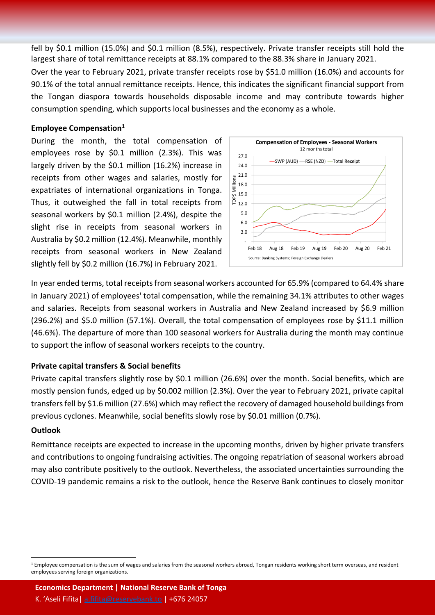fell by \$0.1 million (15.0%) and \$0.1 million (8.5%), respectively. Private transfer receipts still hold the largest share of total remittance receipts at 88.1% compared to the 88.3% share in January 2021.

Over the year to February 2021, private transfer receipts rose by \$51.0 million (16.0%) and accounts for 90.1% of the total annual remittance receipts. Hence, this indicates the significant financial support from the Tongan diaspora towards households disposable income and may contribute towards higher consumption spending, which supports local businesses and the economy as a whole.

#### **Employee Compensation<sup>1</sup>**

During the month, the total compensation of employees rose by \$0.1 million (2.3%). This was largely driven by the \$0.1 million (16.2%) increase in receipts from other wages and salaries, mostly for expatriates of international organizations in Tonga. Thus, it outweighed the fall in total receipts from seasonal workers by \$0.1 million (2.4%), despite the slight rise in receipts from seasonal workers in Australia by \$0.2 million (12.4%). Meanwhile, monthly receipts from seasonal workers in New Zealand slightly fell by \$0.2 million (16.7%) in February 2021.



In year ended terms, total receipts from seasonal workers accounted for 65.9% (compared to 64.4% share in January 2021) of employees' total compensation, while the remaining 34.1% attributes to other wages and salaries. Receipts from seasonal workers in Australia and New Zealand increased by \$6.9 million (296.2%) and \$5.0 million (57.1%). Overall, the total compensation of employees rose by \$11.1 million (46.6%). The departure of more than 100 seasonal workers for Australia during the month may continue to support the inflow of seasonal workers receipts to the country.

#### **Private capital transfers & Social benefits**

Private capital transfers slightly rose by \$0.1 million (26.6%) over the month. Social benefits, which are mostly pension funds, edged up by \$0.002 million (2.3%). Over the year to February 2021, private capital transfers fell by \$1.6 million (27.6%) which may reflect the recovery of damaged household buildings from previous cyclones. Meanwhile, social benefits slowly rose by \$0.01 million (0.7%).

#### **Outlook**

 $\ddot{\phantom{a}}$ 

Remittance receipts are expected to increase in the upcoming months, driven by higher private transfers and contributions to ongoing fundraising activities. The ongoing repatriation of seasonal workers abroad may also contribute positively to the outlook. Nevertheless, the associated uncertainties surrounding the COVID-19 pandemic remains a risk to the outlook, hence the Reserve Bank continues to closely monitor

**Economics Department | National Reserve Bank of Tonga**

K. 'Aseli Fifita| [a.fifita@reservebank.to](mailto:a.fifita@reservebank.to) | +676 24057

<sup>&</sup>lt;sup>1</sup> Employee compensation is the sum of wages and salaries from the seasonal workers abroad, Tongan residents working short term overseas, and resident employees serving foreign organizations.